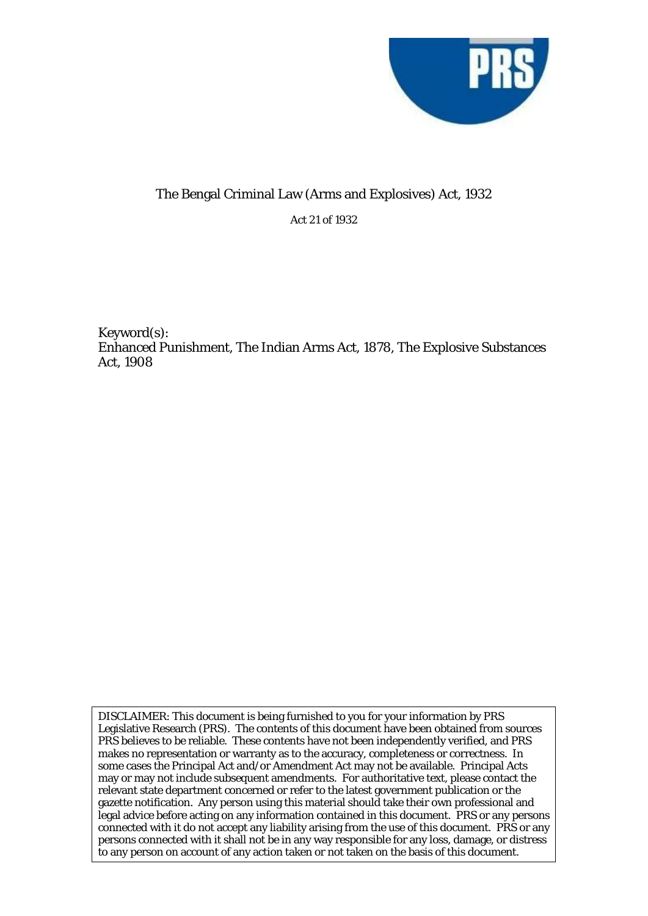

## The Bengal Criminal Law (Arms and Explosives) Act, 1932

Act 21 of 1932

Keyword(s): Enhanced Punishment, The Indian Arms Act, 1878, The Explosive Substances Act, 1908

DISCLAIMER: This document is being furnished to you for your information by PRS Legislative Research (PRS). The contents of this document have been obtained from sources PRS believes to be reliable. These contents have not been independently verified, and PRS makes no representation or warranty as to the accuracy, completeness or correctness. In some cases the Principal Act and/or Amendment Act may not be available. Principal Acts may or may not include subsequent amendments. For authoritative text, please contact the relevant state department concerned or refer to the latest government publication or the gazette notification. Any person using this material should take their own professional and legal advice before acting on any information contained in this document. PRS or any persons connected with it do not accept any liability arising from the use of this document. PRS or any persons connected with it shall not be in any way responsible for any loss, damage, or distress to any person on account of any action taken or not taken on the basis of this document.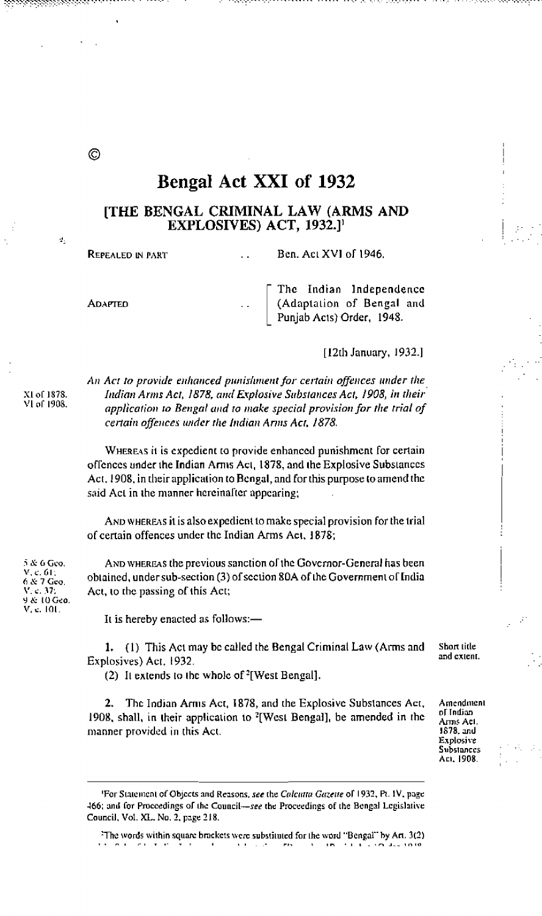# Bengal Act XXI of 1932

### **ITHE BENGAL CRIMINAL LAW (ARMS AND** EXPLOSIVES) ACT, 1932.]<sup>1</sup>

REPEALED IN PART

Ben. Act XVI of 1946.

**ADAPTED** 

O)

đ.

The Indian Independence (Adaptation of Bengal and Punjab Acts) Order, 1948.

[12th January, 1932.]

An Act to provide enhanced punishment for certain offences under the Indian Arms Act, 1878, and Explosive Substances Act, 1908, in their application to Bengal and to make special provision for the trial of certain offences under the Indian Arms Act, 1878.

WHEREAS it is expedient to provide enhanced punishment for certain offences under the Indian Arms Act, 1878, and the Explosive Substances Act, 1908, in their application to Bengal, and for this purpose to amend the said Act in the manner hereinafter appearing;

AND WHEREAS it is also expedient to make special provision for the trial of certain offences under the Indian Arms Act, 1878;

AND WHEREAS the previous sanction of the Governor-General has been obtained, under sub-section (3) of section 80A of the Government of India Act, to the passing of this Act;

It is hereby enacted as follows:-

1. (1) This Act may be called the Bengal Criminal Law (Arms and Short title and extent. Explosives) Act, 1932.

(2) It extends to the whole of <sup>2</sup>[West Bengal].

2. The Indian Arms Act, 1878, and the Explosive Substances Act, 1908, shall, in their application to <sup>2</sup>[West Bengal], be amended in the manner provided in this Act.

Amendment of Indian Arms Act. 1878, and Explosive Substances

Aci, 1908.

The words within square brackets were substituted for the word "Bengal" by Art. 3(2) man.  $\mathbf{r}$ 

5 & 6 Geo. V, c, 61;<br>6 & 7 Geo,<br>V, c, 37; 9 & 10 Geo. V. c. 101.

XI of 1878.

VI of 1908.

<sup>&#</sup>x27;For Statement of Objects and Reasons, see the Calcutta Gazette of 1932, Pt. 1V, page 466; and for Proceedings of the Council-see the Proceedings of the Bengal Legislative Council, Vol. XL. No. 2, page 218.